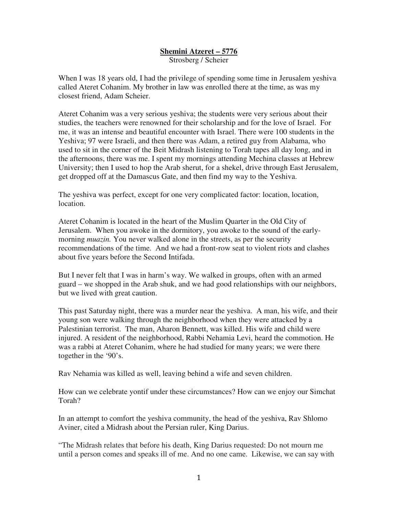## **Shemini Atzeret – 5776** Strosberg / Scheier

When I was 18 years old, I had the privilege of spending some time in Jerusalem yeshiva called Ateret Cohanim. My brother in law was enrolled there at the time, as was my closest friend, Adam Scheier.

Ateret Cohanim was a very serious yeshiva; the students were very serious about their studies, the teachers were renowned for their scholarship and for the love of Israel. For me, it was an intense and beautiful encounter with Israel. There were 100 students in the Yeshiva; 97 were Israeli, and then there was Adam, a retired guy from Alabama, who used to sit in the corner of the Beit Midrash listening to Torah tapes all day long, and in the afternoons, there was me. I spent my mornings attending Mechina classes at Hebrew University; then I used to hop the Arab sherut, for a shekel, drive through East Jerusalem, get dropped off at the Damascus Gate, and then find my way to the Yeshiva.

The yeshiva was perfect, except for one very complicated factor: location, location, location.

Ateret Cohanim is located in the heart of the Muslim Quarter in the Old City of Jerusalem. When you awoke in the dormitory, you awoke to the sound of the earlymorning *muazin.* You never walked alone in the streets, as per the security recommendations of the time. And we had a front-row seat to violent riots and clashes about five years before the Second Intifada.

But I never felt that I was in harm's way. We walked in groups, often with an armed guard – we shopped in the Arab shuk, and we had good relationships with our neighbors, but we lived with great caution.

This past Saturday night, there was a murder near the yeshiva. A man, his wife, and their young son were walking through the neighborhood when they were attacked by a Palestinian terrorist. The man, Aharon Bennett, was killed. His wife and child were injured. A resident of the neighborhood, Rabbi Nehamia Levi, heard the commotion. He was a rabbi at Ateret Cohanim, where he had studied for many years; we were there together in the '90's.

Rav Nehamia was killed as well, leaving behind a wife and seven children.

How can we celebrate yontif under these circumstances? How can we enjoy our Simchat Torah?

In an attempt to comfort the yeshiva community, the head of the yeshiva, Rav Shlomo Aviner, cited a Midrash about the Persian ruler, King Darius.

"The Midrash relates that before his death, King Darius requested: Do not mourn me until a person comes and speaks ill of me. And no one came. Likewise, we can say with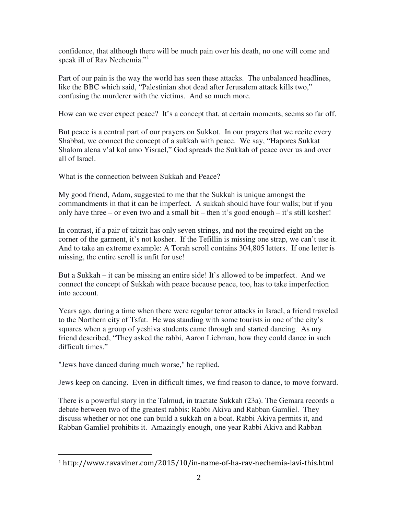confidence, that although there will be much pain over his death, no one will come and speak ill of Ray Nechemia."<sup>1</sup>

Part of our pain is the way the world has seen these attacks. The unbalanced headlines, like the BBC which said, "Palestinian shot dead after Jerusalem attack kills two," confusing the murderer with the victims. And so much more.

How can we ever expect peace? It's a concept that, at certain moments, seems so far off.

But peace is a central part of our prayers on Sukkot. In our prayers that we recite every Shabbat, we connect the concept of a sukkah with peace. We say, "Hapores Sukkat Shalom alena v'al kol amo Yisrael," God spreads the Sukkah of peace over us and over all of Israel.

What is the connection between Sukkah and Peace?

My good friend, Adam, suggested to me that the Sukkah is unique amongst the commandments in that it can be imperfect. A sukkah should have four walls; but if you only have three – or even two and a small bit – then it's good enough – it's still kosher!

In contrast, if a pair of tzitzit has only seven strings, and not the required eight on the corner of the garment, it's not kosher. If the Tefillin is missing one strap, we can't use it. And to take an extreme example: A Torah scroll contains 304,805 letters. If one letter is missing, the entire scroll is unfit for use!

But a Sukkah – it can be missing an entire side! It's allowed to be imperfect. And we connect the concept of Sukkah with peace because peace, too, has to take imperfection into account.

Years ago, during a time when there were regular terror attacks in Israel, a friend traveled to the Northern city of Tsfat. He was standing with some tourists in one of the city's squares when a group of yeshiva students came through and started dancing. As my friend described, "They asked the rabbi, Aaron Liebman, how they could dance in such difficult times."

"Jews have danced during much worse," he replied.

Jews keep on dancing. Even in difficult times, we find reason to dance, to move forward.

There is a powerful story in the Talmud, in tractate Sukkah (23a). The Gemara records a debate between two of the greatest rabbis: Rabbi Akiva and Rabban Gamliel. They discuss whether or not one can build a sukkah on a boat. Rabbi Akiva permits it, and Rabban Gamliel prohibits it. Amazingly enough, one year Rabbi Akiva and Rabban

 $\overline{a}$ 1 http://www.ravaviner.com/2015/10/in-name-of-ha-rav-nechemia-lavi-this.html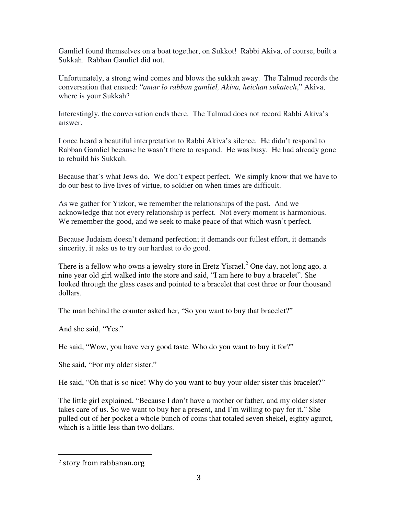Gamliel found themselves on a boat together, on Sukkot! Rabbi Akiva, of course, built a Sukkah. Rabban Gamliel did not.

Unfortunately, a strong wind comes and blows the sukkah away. The Talmud records the conversation that ensued: "*amar lo rabban gamliel, Akiva, heichan sukatech*," Akiva, where is your Sukkah?

Interestingly, the conversation ends there. The Talmud does not record Rabbi Akiva's answer.

I once heard a beautiful interpretation to Rabbi Akiva's silence. He didn't respond to Rabban Gamliel because he wasn't there to respond. He was busy. He had already gone to rebuild his Sukkah.

Because that's what Jews do. We don't expect perfect. We simply know that we have to do our best to live lives of virtue, to soldier on when times are difficult.

As we gather for Yizkor, we remember the relationships of the past. And we acknowledge that not every relationship is perfect. Not every moment is harmonious. We remember the good, and we seek to make peace of that which wasn't perfect.

Because Judaism doesn't demand perfection; it demands our fullest effort, it demands sincerity, it asks us to try our hardest to do good.

There is a fellow who owns a jewelry store in Eretz Yisrael.<sup>2</sup> One day, not long ago, a nine year old girl walked into the store and said, "I am here to buy a bracelet". She looked through the glass cases and pointed to a bracelet that cost three or four thousand dollars.

The man behind the counter asked her, "So you want to buy that bracelet?"

And she said, "Yes."

He said, "Wow, you have very good taste. Who do you want to buy it for?"

She said, "For my older sister."

He said, "Oh that is so nice! Why do you want to buy your older sister this bracelet?"

The little girl explained, "Because I don't have a mother or father, and my older sister takes care of us. So we want to buy her a present, and I'm willing to pay for it." She pulled out of her pocket a whole bunch of coins that totaled seven shekel, eighty agurot, which is a little less than two dollars.

 $\overline{a}$ 

<sup>2</sup> story from rabbanan.org